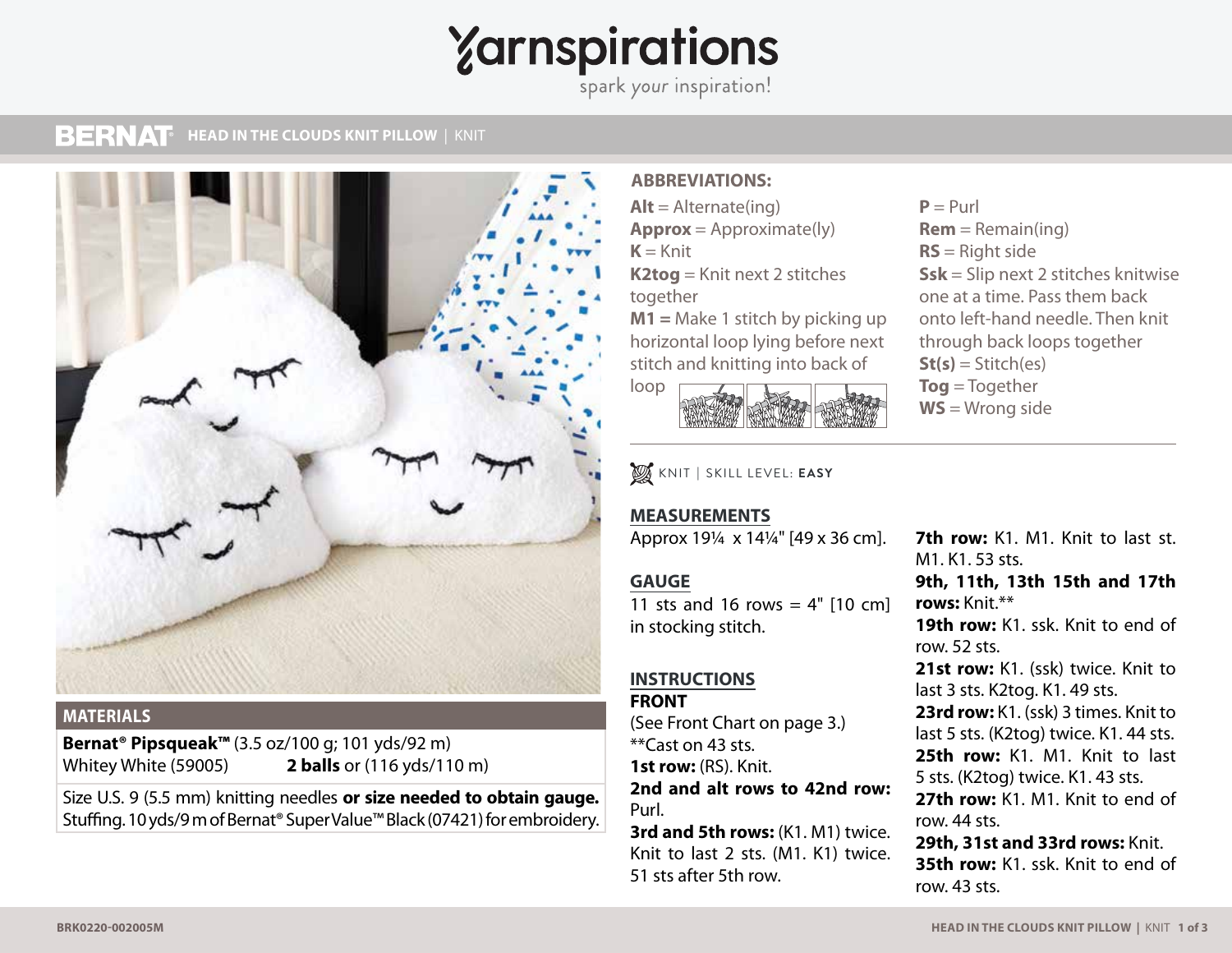# **Zarnspirations**

spark your inspiration!

#### **BERNAT MESH TOP** | KNIT **HEAD IN THE CLOUDS KNIT PILLOW** | KNIT



## **MATERIALS**

**Bernat® Pipsqueak™** (3.5 oz/100 g; 101 yds/92 m) Whitey White (59005) **2 balls** or (116 yds/110 m)

Size U.S. 9 (5.5 mm) knitting needles **or size needed to obtain gauge.**  Stuffing. 10 yds/9 m of Bernat® Super Value™ Black (07421) for embroidery.

# **ABBREVIATIONS:**

 $Alt =$  Alternate(ing) **Approx** = Approximate(ly)  $K =$ Knit **K2tog** = Knit next 2 stitches together **M1 =** Make 1 stitch by picking up

horizontal loop lying before next stitch and knitting into back of



KNIT **|** SKILL LEVEL: **EASY**

# **MEASUREMENTS**

Approx 19¼ x 14¼" [49 x 36 cm].

# **GAUGE**

11 sts and 16 rows =  $4"$  [10 cm] in stocking stitch.

### **INSTRUCTIONS FRONT**

(See Front Chart on page 3.) \*\*Cast on 43 sts. **1st row:** (RS). Knit.

**2nd and alt rows to 42nd row:** Purl.

**3rd and 5th rows:** (K1. M1) twice. Knit to last 2 sts. (M1. K1) twice. 51 sts after 5th row.

 $P = Purl$  $Rem = Remain(ing)$ **RS** = Right side **Ssk** = Slip next 2 stitches knitwise one at a time. Pass them back onto left-hand needle. Then knit through back loops together  $St(s) = Stitch(es)$ **Tog** = Together **WS** = Wrong side

**7th row:** K1. M1. Knit to last st. M1. K1. 53 sts.

**9th, 11th, 13th 15th and 17th rows:** Knit.\*\*

**19th row:** K1. ssk. Knit to end of row. 52 sts.

21st row: K1. (ssk) twice. Knit to last 3 sts. K2tog. K1. 49 sts.

**23rd row:** K1. (ssk) 3 times. Knit to last 5 sts. (K2tog) twice. K1. 44 sts. **25th row:** K1. M1. Knit to last 5 sts. (K2tog) twice. K1. 43 sts.

**27th row:** K1. M1. Knit to end of row. 44 sts.

**29th, 31st and 33rd rows:** Knit. **35th row:** K1. ssk. Knit to end of row. 43 sts.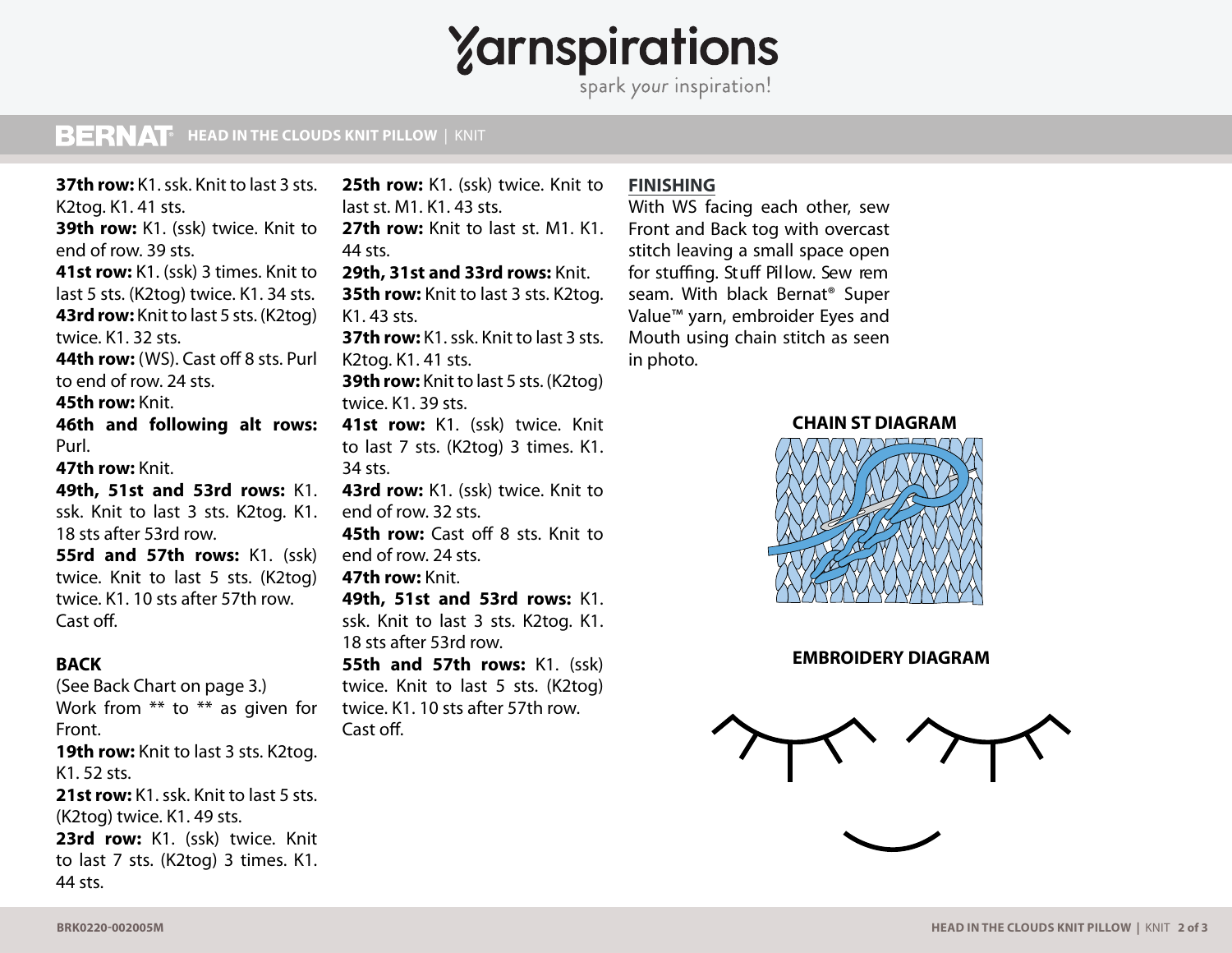# Yarnspirations

spark your inspiration!

# **MESH TOP** | KNIT **HEAD IN THE CLOUDS KNIT PILLOW** | KNIT

**37th row:** K1. ssk. Knit to last 3 sts. K2tog. K1. 41 sts. **39th row:** K1. (ssk) twice. Knit to end of row. 39 sts. **41st row:** K1. (ssk) 3 times. Knit to last 5 sts. (K2tog) twice. K1. 34 sts. **43rd row:** Knit to last 5 sts. (K2tog) twice. K1. 32 sts. **44th row:** (WS). Cast off 8 sts. Purl to end of row. 24 sts. **45th row:** Knit. **46th and following alt rows:**  Purl. **47th row:** Knit. **49th, 51st and 53rd rows:** K1. ssk. Knit to last 3 sts. K2tog. K1. 18 sts after 53rd row. **55rd and 57th rows:** K1. (ssk) twice. Knit to last 5 sts. (K2tog) twice. K1. 10 sts after 57th row. Cast off. **BACK**  (See Back Chart on page 3.)

Work from \*\* to \*\* as given for Front. **19th row:** Knit to last 3 sts. K2tog. K1. 52 sts. **21st row:** K1. ssk. Knit to last 5 sts. (K2tog) twice. K1. 49 sts. 23rd row: K1. (ssk) twice. Knit to last 7 sts. (K2tog) 3 times. K1. 44 sts.

25th row: K1. (ssk) twice. Knit to last st. M1. K1. 43 sts. **27th row:** Knit to last st. M1. K1. 44 sts. **29th, 31st and 33rd rows:** Knit. **35th row:** Knit to last 3 sts. K2tog. K1. 43 sts. **37th row:** K1. ssk. Knit to last 3 sts. K2tog. K1. 41 sts. **39th row:** Knit to last 5 sts. (K2tog) twice. K1. 39 sts. **41st row:** K1. (ssk) twice. Knit to last 7 sts. (K2tog) 3 times. K1. 34 sts. **43rd row:** K1. (ssk) twice. Knit to end of row. 32 sts. **45th row:** Cast off 8 sts. Knit to end of row. 24 sts. **47th row:** Knit. **49th, 51st and 53rd rows:** K1. ssk. Knit to last 3 sts. K2tog. K1. 18 sts after 53rd row. **55th and 57th rows:** K1. (ssk) twice. Knit to last 5 sts. (K2tog) twice. K1. 10 sts after 57th row. Cast off.

## **FINISHING**

With WS facing each other, sew Front and Back tog with overcast stitch leaving a small space open for stuffing. Stuff Pillow. Sew rem seam. With black Bernat® Super Value™ yarn, embroider Eyes and Mouth using chain stitch as seen in photo.

**CHAIN ST DIAGRAM**



**EMBROIDERY DIAGRAM**